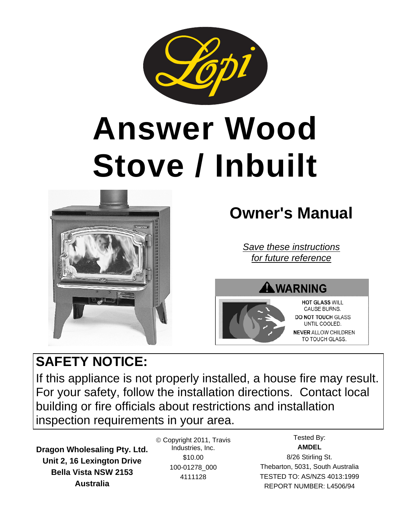

# **Answer Wood Stove / Inbuilt**



# **Owner's Manual**

*Save these instructions for future reference* 

# AWARNING



**HOT GLASS WILL** CAUSE BURNS. **DO NOT TOUCH GLASS** UNTIL COOLED. **NEVER ALLOW CHILDREN** 

TO TOUCH GLASS.

# **SAFETY NOTICE:**

If this appliance is not properly installed, a house fire may result. For your safety, follow the installation directions. Contact local building or fire officials about restrictions and installation inspection requirements in your area.

**Dragon Wholesaling Pty. Ltd. Unit 2, 16 Lexington Drive Bella Vista NSW 2153 Australia**

 Copyright 2011, Travis Industries, Inc. \$10.00 100-01278\_000 4111128

Tested By: **AMDEL**  8/26 Stirling St. Thebarton, 5031, South Australia TESTED TO: AS/NZS 4013:1999 REPORT NUMBER: L4506/94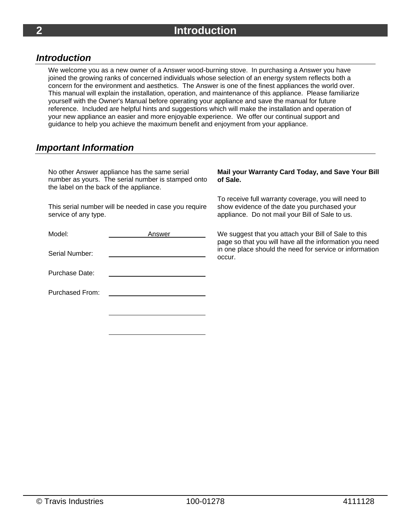#### *Introduction*

We welcome you as a new owner of a Answer wood-burning stove. In purchasing a Answer you have joined the growing ranks of concerned individuals whose selection of an energy system reflects both a concern for the environment and aesthetics. The Answer is one of the finest appliances the world over. This manual will explain the installation, operation, and maintenance of this appliance. Please familiarize yourself with the Owner's Manual before operating your appliance and save the manual for future reference. Included are helpful hints and suggestions which will make the installation and operation of your new appliance an easier and more enjoyable experience. We offer our continual support and guidance to help you achieve the maximum benefit and enjoyment from your appliance.

#### *Important Information*

No other Answer appliance has the same serial number as yours. The serial number is stamped onto the label on the back of the appliance.

This serial number will be needed in case you require service of any type.

| Model:                 | Answer |  |  |
|------------------------|--------|--|--|
| Serial Number:         |        |  |  |
| Purchase Date:         |        |  |  |
| <b>Purchased From:</b> |        |  |  |
|                        |        |  |  |

#### **Mail your Warranty Card Today, and Save Your Bill of Sale.**

To receive full warranty coverage, you will need to show evidence of the date you purchased your appliance. Do not mail your Bill of Sale to us.

We suggest that you attach your Bill of Sale to this page so that you will have all the information you need in one place should the need for service or information occur.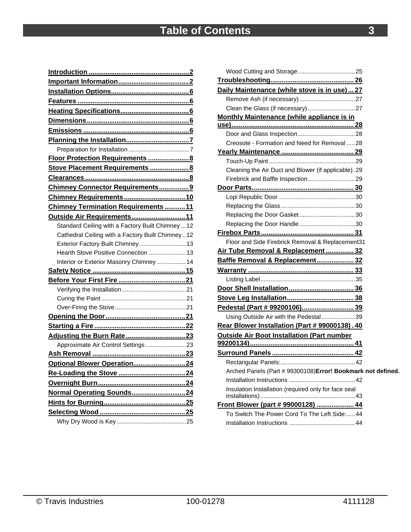| Stove Placement Requirements  8                   |
|---------------------------------------------------|
|                                                   |
| Chimney Connector Requirements9                   |
| Chimney Requirements10                            |
| <b>Chimney Termination Requirements 11</b>        |
| Outside Air Requirements 11                       |
| Standard Ceiling with a Factory Built Chimney  12 |
| Cathedral Ceiling with a Factory Built Chimney12  |
| Exterior Factory Built Chimney 13                 |
| Hearth Stove Positive Connection  13              |
| Interior or Exterior Masonry Chimney  14          |
|                                                   |
|                                                   |
|                                                   |
|                                                   |
|                                                   |
|                                                   |
|                                                   |
|                                                   |
| Approximate Air Control Settings23                |
|                                                   |
|                                                   |
| Optional Blower Operation24                       |
|                                                   |
|                                                   |
| Normal Operating Sounds24                         |
|                                                   |
|                                                   |

| Daily Maintenance (while stove is in use)  27                |  |
|--------------------------------------------------------------|--|
|                                                              |  |
|                                                              |  |
| Monthly Maintenance (while appliance is in                   |  |
|                                                              |  |
|                                                              |  |
| Creosote - Formation and Need for Removal 28                 |  |
|                                                              |  |
|                                                              |  |
| Cleaning the Air Duct and Blower (if applicable).29          |  |
|                                                              |  |
|                                                              |  |
|                                                              |  |
|                                                              |  |
|                                                              |  |
|                                                              |  |
|                                                              |  |
| Floor and Side Firebrick Removal & Replacement31             |  |
| <u> Air Tube Removal &amp; Replacement  32</u>               |  |
| Baffle Removal & Replacement 32                              |  |
|                                                              |  |
|                                                              |  |
|                                                              |  |
|                                                              |  |
|                                                              |  |
| Pedestal (Part # 99200106) 39                                |  |
| Using Outside Air with the Pedestal39                        |  |
| Rear Blower Installation (Part # 99000138). 40               |  |
| <b>Outside Air Boot Installation (Part number</b>            |  |
|                                                              |  |
|                                                              |  |
|                                                              |  |
| Arched Panels (Part # 99300108) Error! Bookmark not defined. |  |
|                                                              |  |
| Insulation Installation (required only for face seal         |  |
|                                                              |  |
| Front Blower (part # 99000128)  44                           |  |
| To Switch The Power Cord To The Left Side:44                 |  |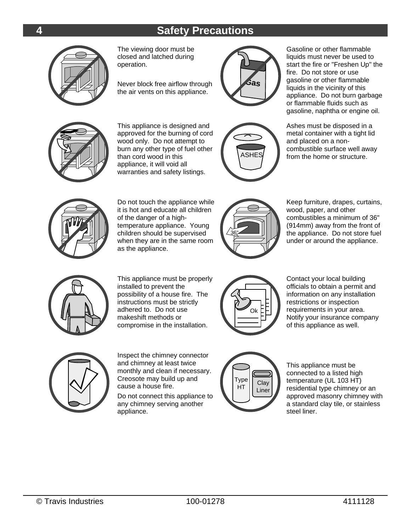# **4 Safety Precautions**



The viewing door must be closed and latched during operation.

Never block free airflow through the air vents on this appliance.



Gasoline or other flammable liquids must never be used to start the fire or "Freshen Up" the fire. Do not store or use gasoline or other flammable liquids in the vicinity of this appliance. Do not burn garbage or flammable fluids such as gasoline, naphtha or engine oil.



This appliance is designed and approved for the burning of cord wood only. Do not attempt to burn any other type of fuel other than cord wood in this appliance, it will void all warranties and safety listings.



Ashes must be disposed in a metal container with a tight lid and placed on a noncombustible surface well away from the home or structure.



Do not touch the appliance while it is hot and educate all children of the danger of a hightemperature appliance. Young children should be supervised when they are in the same room as the appliance.



Keep furniture, drapes, curtains, wood, paper, and other combustibles a minimum of 36" (914mm) away from the front of the appliance. Do not store fuel under or around the appliance.



This appliance must be properly installed to prevent the possibility of a house fire. The instructions must be strictly adhered to. Do not use makeshift methods or compromise in the installation.



Contact your local building officials to obtain a permit and information on any installation restrictions or inspection requirements in your area. Notify your insurance company of this appliance as well.



Inspect the chimney connector and chimney at least twice monthly and clean if necessary. Creosote may build up and cause a house fire.

Do not connect this appliance to any chimney serving another appliance.



This appliance must be connected to a listed high temperature (UL 103 HT) residential type chimney or an approved masonry chimney with a standard clay tile, or stainless steel liner.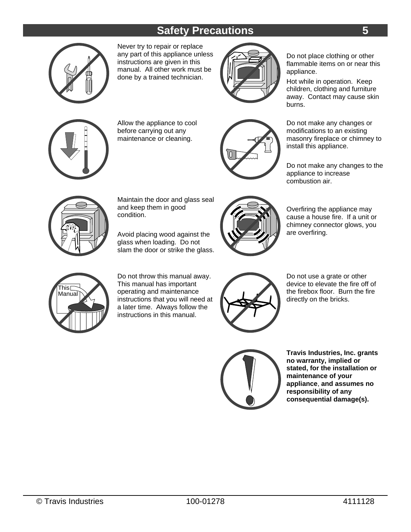# **Safety Precautions 5**



Never try to repair or replace any part of this appliance unless instructions are given in this manual. All other work must be done by a trained technician.



Do not place clothing or other flammable items on or near this appliance.

Hot while in operation. Keep children, clothing and furniture away. Contact may cause skin burns.



Allow the appliance to cool before carrying out any maintenance or cleaning.



Do not make any changes or modifications to an existing masonry fireplace or chimney to install this appliance.

Do not make any changes to the appliance to increase combustion air.



Maintain the door and glass seal and keep them in good condition.

Avoid placing wood against the glass when loading. Do not slam the door or strike the glass.



Overfiring the appliance may cause a house fire. If a unit or chimney connector glows, you are overfiring.



Do not throw this manual away. This manual has important operating and maintenance instructions that you will need at a later time. Always follow the instructions in this manual.



Do not use a grate or other device to elevate the fire off of the firebox floor. Burn the fire directly on the bricks.



 **Travis Industries, Inc. grants no warranty, implied or stated, for the installation or maintenance of your appliance**, **and assumes no responsibility of any consequential damage(s).**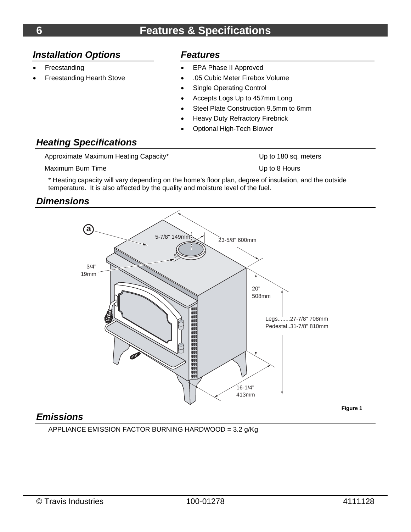#### *Installation Options*

- Freestanding
- Freestanding Hearth Stove

#### *Features*

- EPA Phase II Approved
- .05 Cubic Meter Firebox Volume
- Single Operating Control
- Accepts Logs Up to 457mm Long
- Steel Plate Construction 9.5mm to 6mm
- Heavy Duty Refractory Firebrick
- Optional High-Tech Blower

#### *Heating Specifications*

Approximate Maximum Heating Capacity\* The Contract of the Up to 180 sq. meters

Maximum Burn Time **National Structure Contract Contract Contract Contract Contract Contract Contract Contract Contract Contract Contract Contract Contract Contract Contract Contract Contract Contract Contract Contract Cont** 

\* Heating capacity will vary depending on the home's floor plan, degree of insulation, and the outside temperature. It is also affected by the quality and moisture level of the fuel.

#### *Dimensions*



## *Emissions*

APPLIANCE EMISSION FACTOR BURNING HARDWOOD = 3.2 g/Kg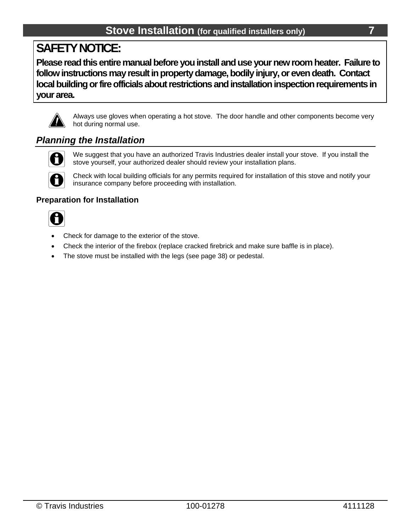# **SAFETY NOTICE:**

**Please read this entire manual before you install and use your new room heater. Failure to follow instructions may result in property damage, bodily injury, or even death. Contact local building or fire officials about restrictions and installation inspection requirements in your area.**



Always use gloves when operating a hot stove. The door handle and other components become very hot during normal use.

#### *Planning the Installation*



We suggest that you have an authorized Travis Industries dealer install your stove. If you install the stove yourself, your authorized dealer should review your installation plans.



Check with local building officials for any permits required for installation of this stove and notify your insurance company before proceeding with installation.

#### **Preparation for Installation**



- Check for damage to the exterior of the stove.
- Check the interior of the firebox (replace cracked firebrick and make sure baffle is in place).
- The stove must be installed with the legs (see page 38) or pedestal.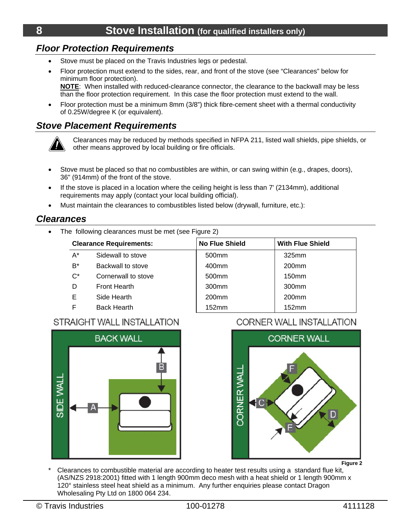#### *Floor Protection Requirements*

- Stove must be placed on the Travis Industries legs or pedestal.
- Floor protection must extend to the sides, rear, and front of the stove (see "Clearances" below for minimum floor protection). **NOTE**: When installed with reduced-clearance connector, the clearance to the backwall may be less than the floor protection requirement. In this case the floor protection must extend to the wall.
- Floor protection must be a minimum 8mm (3/8") thick fibre-cement sheet with a thermal conductivity of 0.25W/degree K (or equivalent).

#### *Stove Placement Requirements*



Clearances may be reduced by methods specified in NFPA 211, listed wall shields, pipe shields, or other means approved by local building or fire officials.

- Stove must be placed so that no combustibles are within, or can swing within (e.g., drapes, doors), 36" (914mm) of the front of the stove.
- If the stove is placed in a location where the ceiling height is less than 7' (2134mm), additional requirements may apply (contact your local building official).
- Must maintain the clearances to combustibles listed below (drywall, furniture, etc.):

#### *Clearances*

• The following clearances must be met (see Figure 2)

| <b>Clearance Requirements:</b> |                     | <b>No Flue Shield</b> | <b>With Flue Shield</b> |  |
|--------------------------------|---------------------|-----------------------|-------------------------|--|
| $A^*$                          | Sidewall to stove   | 500 <sub>mm</sub>     | 325mm                   |  |
| $B^*$                          | Backwall to stove   | 400mm                 | 200 <sub>mm</sub>       |  |
| $C^*$                          | Cornerwall to stove | 500mm                 | 150 <sub>mm</sub>       |  |
| D                              | Front Hearth        | 300 <sub>mm</sub>     | 300 <sub>mm</sub>       |  |
| Е                              | Side Hearth         | 200 <sub>mm</sub>     | 200 <sub>mm</sub>       |  |
| F                              | <b>Back Hearth</b>  | 152mm                 | 152mm                   |  |

#### **STRAIGHT WALL INSTALLATION**



#### **CORNER WALL INSTALLATION**



Clearances to combustible material are according to heater test results using a standard flue kit, (AS/NZS 2918:2001) fitted with 1 length 900mm deco mesh with a heat shield or 1 length 900mm x 120° stainless steel heat shield as a minimum. Any further enquiries please contact Dragon Wholesaling Pty Ltd on 1800 064 234.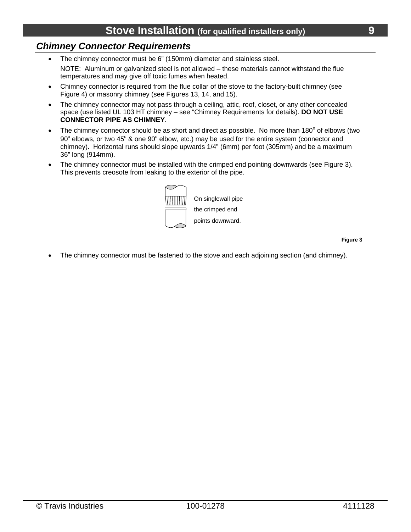#### *Chimney Connector Requirements*

- The chimney connector must be 6" (150mm) diameter and stainless steel. NOTE: Aluminum or galvanized steel is not allowed – these materials cannot withstand the flue temperatures and may give off toxic fumes when heated.
- Chimney connector is required from the flue collar of the stove to the factory-built chimney (see Figure 4) or masonry chimney (see Figures 13, 14, and 15).
- The chimney connector may not pass through a ceiling, attic, roof, closet, or any other concealed space (use listed UL 103 HT chimney – see "Chimney Requirements for details). **DO NOT USE CONNECTOR PIPE AS CHIMNEY**.
- The chimney connector should be as short and direct as possible. No more than 180 $^{\circ}$  of elbows (two 90 $^{\circ}$  elbows, or two 45 $^{\circ}$  & one 90 $^{\circ}$  elbow, etc.) may be used for the entire system (connector and chimney). Horizontal runs should slope upwards 1/4" (6mm) per foot (305mm) and be a maximum 36" long (914mm).
- The chimney connector must be installed with the crimped end pointing downwards (see Figure 3). This prevents creosote from leaking to the exterior of the pipe.



**Figure 3** 

The chimney connector must be fastened to the stove and each adjoining section (and chimney).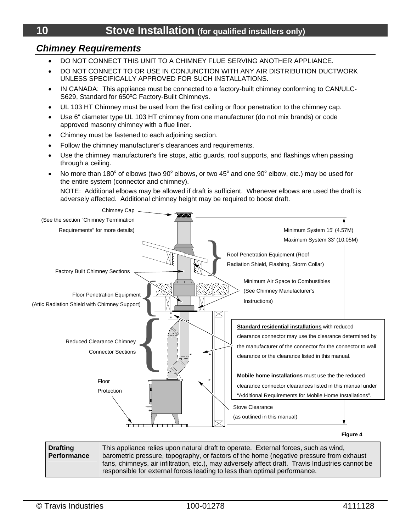#### *Chimney Requirements*

- DO NOT CONNECT THIS UNIT TO A CHIMNEY FLUE SERVING ANOTHER APPLIANCE.
- DO NOT CONNECT TO OR USE IN CONJUNCTION WITH ANY AIR DISTRIBUTION DUCTWORK UNLESS SPECIFICALLY APPROVED FOR SUCH INSTALLATIONS.
- IN CANADA: This appliance must be connected to a factory-built chimney conforming to CAN/ULC-S629, Standard for 650ºC Factory-Built Chimneys.
- UL 103 HT Chimney must be used from the first ceiling or floor penetration to the chimney cap.
- Use 6" diameter type UL 103 HT chimney from one manufacturer (do not mix brands) or code approved masonry chimney with a flue liner.
- Chimney must be fastened to each adjoining section.
- Follow the chimney manufacturer's clearances and requirements.
- Use the chimney manufacturer's fire stops, attic guards, roof supports, and flashings when passing through a ceiling.
- No more than 180 $^{\circ}$  of elbows (two 90 $^{\circ}$  elbows, or two 45 $^{\circ}$  and one 90 $^{\circ}$  elbow, etc.) may be used for the entire system (connector and chimney).

NOTE: Additional elbows may be allowed if draft is sufficient. Whenever elbows are used the draft is adversely affected. Additional chimney height may be required to boost draft.



**Figure 4** 

**Drafting Performance**  This appliance relies upon natural draft to operate. External forces, such as wind, barometric pressure, topography, or factors of the home (negative pressure from exhaust fans, chimneys, air infiltration, etc.), may adversely affect draft. Travis Industries cannot be responsible for external forces leading to less than optimal performance.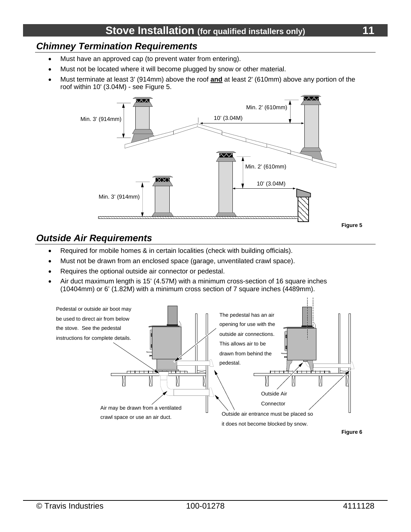# *Chimney Termination Requirements*

- Must have an approved cap (to prevent water from entering).
- Must not be located where it will become plugged by snow or other material.
- Must terminate at least 3' (914mm) above the roof **and** at least 2' (610mm) above any portion of the roof within 10' (3.04M) - see Figure 5.



#### *Outside Air Requirements*

- Required for mobile homes & in certain localities (check with building officials).
- Must not be drawn from an enclosed space (garage, unventilated crawl space).
- Requires the optional outside air connector or pedestal.
- Air duct maximum length is 15' (4.57M) with a minimum cross-section of 16 square inches (10404mm) or 6' (1.82M) with a minimum cross section of 7 square inches (4489mm).

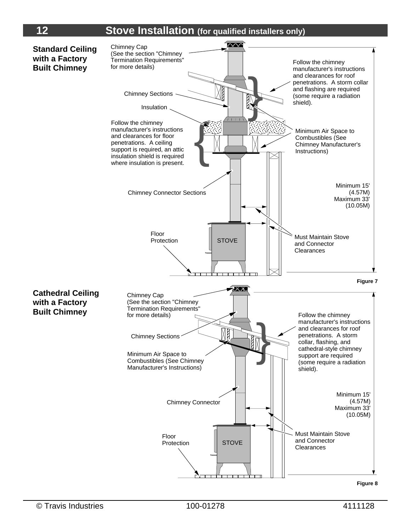# **12 Stove Installation** (for qualified installers only)

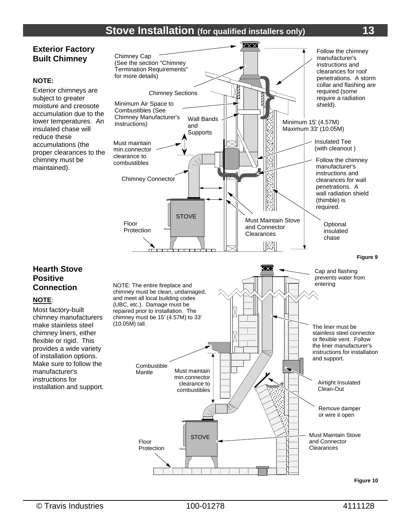#### **Exterior Factory Built Chimney**

#### **NOTE:**

Exterior chimneys are subject to greater moisture and creosote accumulation due to the lower temperatures. An insulated chase will reduce these accumulations (the proper clearances to the chimney must be maintained).



**Hearth Stove Positive Connection** 

#### **NOTE**:

Most factory-built chimney manufacturers make stainless steel chimney liners, either flexible or rigid. This provides a wide variety of installation options. Make sure to follow the manufacturer's instructions for installation and support.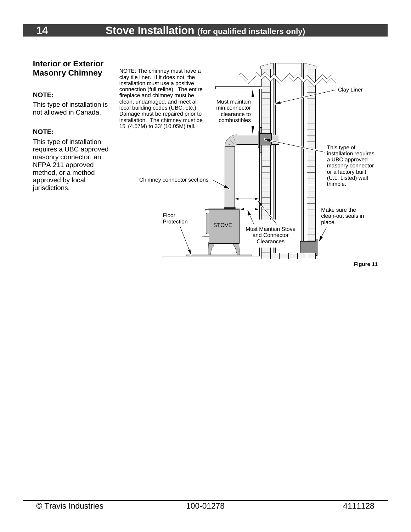#### **Interior or Exterior Masonry Chimney**

#### **NOTE:**

This type of installation is not allowed in Canada.

#### **NOTE:**

This type of installation requires a UBC approved masonry connector, an NFPA 211 approved method, or a method approved by local jurisdictions.

NOTE: The chimney must have a clay tile liner. If it does not, the installation must use a positive connection (full reline). The entire fireplace and chimney must be clean, undamaged, and meet all local building codes (UBC, etc.). Damage must be repaired prior to installation. The chimney must be 15' (4.57M) to 33' (10.05M) tall.

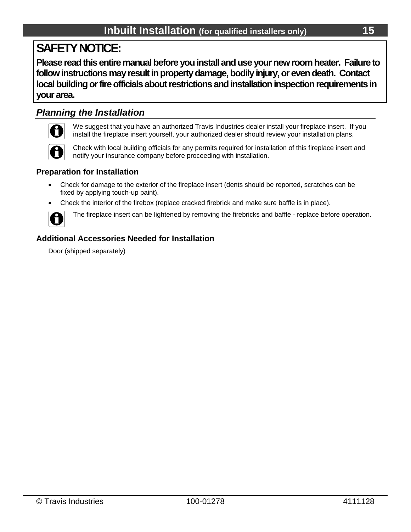# **SAFETY NOTICE:**

**Please read this entire manual before you install and use your new room heater. Failure to follow instructions may result in property damage, bodily injury, or even death. Contact local building or fire officials about restrictions and installation inspection requirements in your area.**

#### *Planning the Installation*



We suggest that you have an authorized Travis Industries dealer install your fireplace insert. If you install the fireplace insert yourself, your authorized dealer should review your installation plans.

Check with local building officials for any permits required for installation of this fireplace insert and notify your insurance company before proceeding with installation.

#### **Preparation for Installation**

- Check for damage to the exterior of the fireplace insert (dents should be reported, scratches can be fixed by applying touch-up paint).
- Check the interior of the firebox (replace cracked firebrick and make sure baffle is in place).



The fireplace insert can be lightened by removing the firebricks and baffle - replace before operation.

#### **Additional Accessories Needed for Installation**

Door (shipped separately)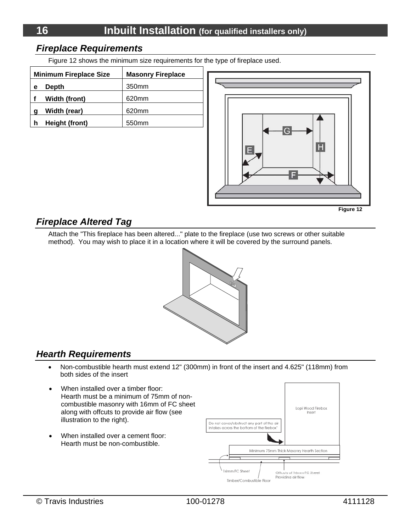#### *Fireplace Requirements*

Figure 12 shows the minimum size requirements for the type of fireplace used.

| <b>Minimum Fireplace Size</b> |                      | <b>Masonry Fireplace</b> |
|-------------------------------|----------------------|--------------------------|
| е                             | Depth                | 350 <sub>mm</sub>        |
|                               | <b>Width (front)</b> | 620mm                    |
| g                             | Width (rear)         | 620mm                    |
|                               | Height (front)       | 550 <sub>mm</sub>        |



#### *Fireplace Altered Tag*

Attach the "This fireplace has been altered..." plate to the fireplace (use two screws or other suitable method). You may wish to place it in a location where it will be covered by the surround panels.



### *Hearth Requirements*

- Non-combustible hearth must extend 12" (300mm) in front of the insert and 4.625" (118mm) from both sides of the insert
- When installed over a timber floor: Hearth must be a minimum of 75mm of noncombustible masonry with 16mm of FC sheet along with offcuts to provide air flow (see illustration to the right).
- When installed over a cement floor: Hearth must be non-combustible.

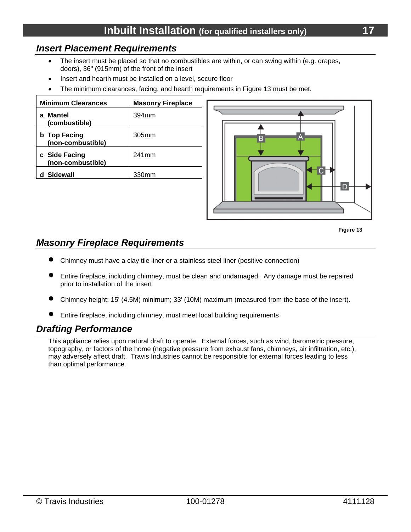#### *Insert Placement Requirements*

- The insert must be placed so that no combustibles are within, or can swing within (e.g. drapes, doors), 36" (915mm) of the front of the insert
- Insert and hearth must be installed on a level, secure floor
- The minimum clearances, facing, and hearth requirements in Figure 13 must be met.

| <b>Minimum Clearances</b>                | <b>Masonry Fireplace</b> |
|------------------------------------------|--------------------------|
| Mantel<br>(combustible)                  | 394mm                    |
| <b>b</b> Top Facing<br>(non-combustible) | 305mm                    |
| c Side Facing<br>(non-combustible)       | 241mm                    |
| Sidewall                                 | 330mm                    |





#### *Masonry Fireplace Requirements*

- Chimney must have a clay tile liner or a stainless steel liner (positive connection)
- Entire fireplace, including chimney, must be clean and undamaged. Any damage must be repaired prior to installation of the insert
- Chimney height: 15' (4.5M) minimum; 33' (10M) maximum (measured from the base of the insert).
- Entire fireplace, including chimney, must meet local building requirements

#### *Drafting Performance*

This appliance relies upon natural draft to operate. External forces, such as wind, barometric pressure, topography, or factors of the home (negative pressure from exhaust fans, chimneys, air infiltration, etc.), may adversely affect draft. Travis Industries cannot be responsible for external forces leading to less than optimal performance.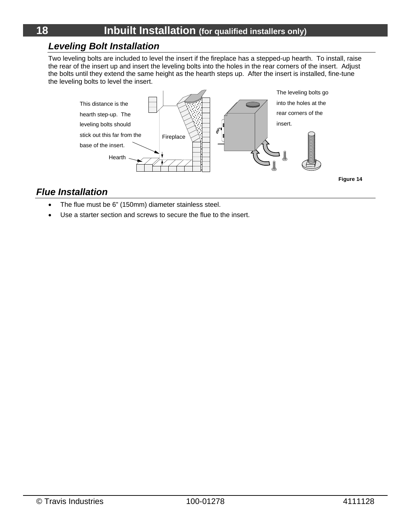#### *Leveling Bolt Installation*

Two leveling bolts are included to level the insert if the fireplace has a stepped-up hearth. To install, raise the rear of the insert up and insert the leveling bolts into the holes in the rear corners of the insert. Adjust the bolts until they extend the same height as the hearth steps up. After the insert is installed, fine-tune the leveling bolts to level the insert.



#### *Flue Installation*

- The flue must be 6" (150mm) diameter stainless steel.
- Use a starter section and screws to secure the flue to the insert.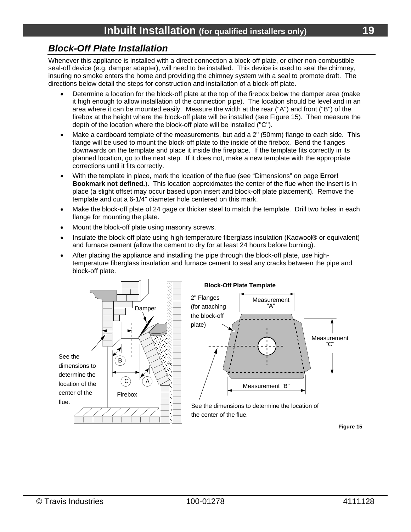#### *Block-Off Plate Installation*

Whenever this appliance is installed with a direct connection a block-off plate, or other non-combustible seal-off device (e.g. damper adapter), will need to be installed. This device is used to seal the chimney, insuring no smoke enters the home and providing the chimney system with a seal to promote draft. The directions below detail the steps for construction and installation of a block-off plate.

- Determine a location for the block-off plate at the top of the firebox below the damper area (make it high enough to allow installation of the connection pipe). The location should be level and in an area where it can be mounted easily. Measure the width at the rear ("A") and front ("B") of the firebox at the height where the block-off plate will be installed (see Figure 15). Then measure the depth of the location where the block-off plate will be installed ("C").
- Make a cardboard template of the measurements, but add a 2" (50mm) flange to each side. This flange will be used to mount the block-off plate to the inside of the firebox. Bend the flanges downwards on the template and place it inside the fireplace. If the template fits correctly in its planned location, go to the next step. If it does not, make a new template with the appropriate corrections until it fits correctly.
- With the template in place, mark the location of the flue (see "Dimensions" on page **Error! Bookmark not defined.**). This location approximates the center of the flue when the insert is in place (a slight offset may occur based upon insert and block-off plate placement). Remove the template and cut a 6-1/4" diameter hole centered on this mark.
- Make the block-off plate of 24 gage or thicker steel to match the template. Drill two holes in each flange for mounting the plate.
- Mount the block-off plate using masonry screws.
- Insulate the block-off plate using high-temperature fiberglass insulation (Kaowool® or equivalent) and furnace cement (allow the cement to dry for at least 24 hours before burning).
- After placing the appliance and installing the pipe through the block-off plate, use hightemperature fiberglass insulation and furnace cement to seal any cracks between the pipe and block-off plate.

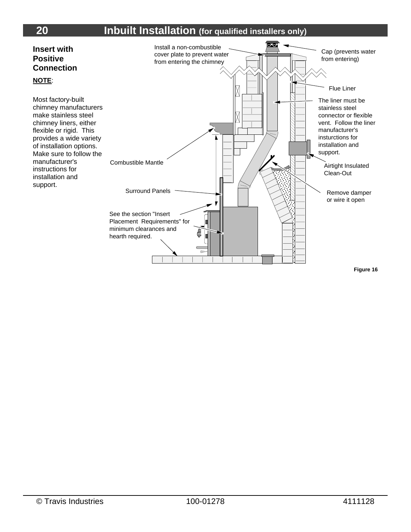# **20 Inbuilt Installation (for qualified installers only)**

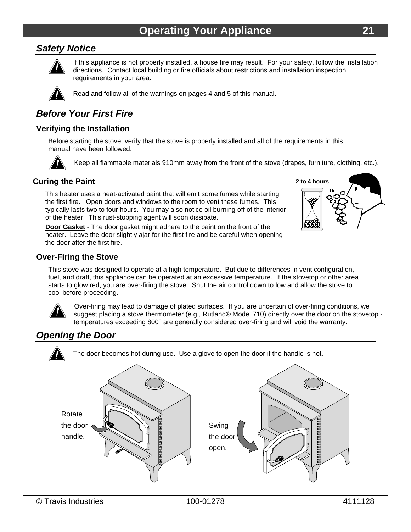#### *Safety Notice*



If this appliance is not properly installed, a house fire may result. For your safety, follow the installation directions. Contact local building or fire officials about restrictions and installation inspection requirements in your area.



Read and follow all of the warnings on pages 4 and 5 of this manual.

#### *Before Your First Fire*

#### **Verifying the Installation**

Before starting the stove, verify that the stove is properly installed and all of the requirements in this manual have been followed.



Keep all flammable materials 910mm away from the front of the stove (drapes, furniture, clothing, etc.).

#### **Curing the Paint**

This heater uses a heat-activated paint that will emit some fumes while starting the first fire. Open doors and windows to the room to vent these fumes. This typically lasts two to four hours. You may also notice oil burning off of the interior of the heater. This rust-stopping agent will soon dissipate.

**Door Gasket** - The door gasket might adhere to the paint on the front of the heater. Leave the door slightly ajar for the first fire and be careful when opening the door after the first fire.



#### **Over-Firing the Stove**

This stove was designed to operate at a high temperature. But due to differences in vent configuration, fuel, and draft, this appliance can be operated at an excessive temperature. If the stovetop or other area starts to glow red, you are over-firing the stove. Shut the air control down to low and allow the stove to cool before proceeding.



Over-firing may lead to damage of plated surfaces. If you are uncertain of over-firing conditions, we suggest placing a stove thermometer (e.g., Rutland® Model 710) directly over the door on the stovetop temperatures exceeding 800° are generally considered over-firing and will void the warranty.

#### *Opening the Door*



The door becomes hot during use. Use a glove to open the door if the handle is hot.

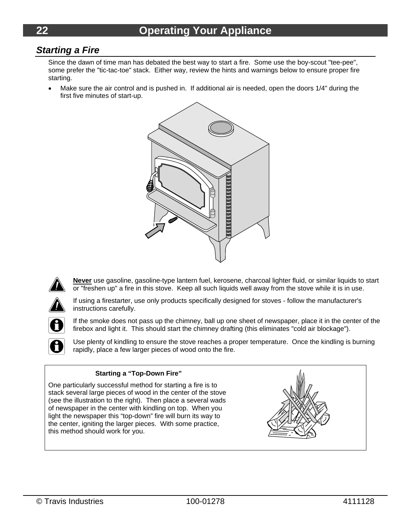#### *Starting a Fire*

Since the dawn of time man has debated the best way to start a fire. Some use the boy-scout "tee-pee", some prefer the "tic-tac-toe" stack. Either way, review the hints and warnings below to ensure proper fire starting.

 Make sure the air control and is pushed in. If additional air is needed, open the doors 1/4" during the first five minutes of start-up.



**Never** use gasoline, gasoline-type lantern fuel, kerosene, charcoal lighter fluid, or similar liquids to start or "freshen up" a fire in this stove. Keep all such liquids well away from the stove while it is in use.



H

If using a firestarter, use only products specifically designed for stoves - follow the manufacturer's instructions carefully.

If the smoke does not pass up the chimney, ball up one sheet of newspaper, place it in the center of the firebox and light it. This should start the chimney drafting (this eliminates "cold air blockage").

Use plenty of kindling to ensure the stove reaches a proper temperature. Once the kindling is burning rapidly, place a few larger pieces of wood onto the fire.

#### **Starting a "Top-Down Fire"**

One particularly successful method for starting a fire is to stack several large pieces of wood in the center of the stove (see the illustration to the right). Then place a several wads of newspaper in the center with kindling on top. When you light the newspaper this "top-down" fire will burn its way to the center, igniting the larger pieces. With some practice, this method should work for you.

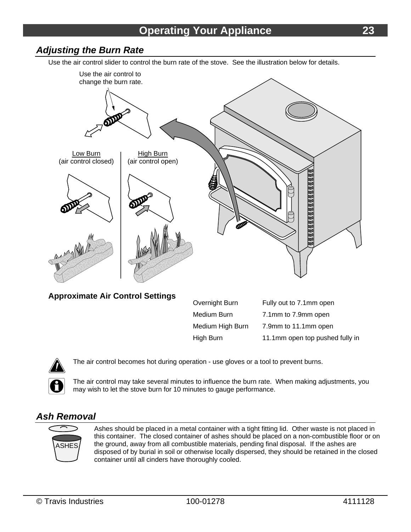#### *Adjusting the Burn Rate*

Use the air control slider to control the burn rate of the stove. See the illustration below for details.



**Approximate Air Control Settings** 

| APPI VAIHUUV AII VOHUVI OUUHIYJ | Overnight Burn   | Fully out to 7.1mm open         |
|---------------------------------|------------------|---------------------------------|
|                                 | Medium Burn      | 7.1mm to 7.9mm open             |
|                                 | Medium High Burn | 7.9mm to 11.1mm open            |
|                                 | High Burn        | 11.1mm open top pushed fully in |



The air control becomes hot during operation - use gloves or a tool to prevent burns.

The air control may take several minutes to influence the burn rate. When making adjustments, you may wish to let the stove burn for 10 minutes to gauge performance.

#### *Ash Removal*



Ashes should be placed in a metal container with a tight fitting lid. Other waste is not placed in this container. The closed container of ashes should be placed on a non-combustible floor or on the ground, away from all combustible materials, pending final disposal. If the ashes are disposed of by burial in soil or otherwise locally dispersed, they should be retained in the closed container until all cinders have thoroughly cooled.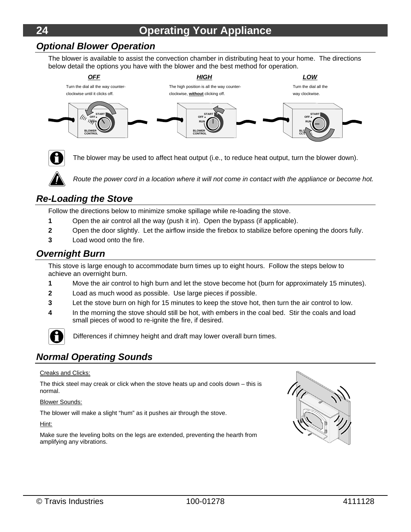# **24 Operating Your Appliance**

#### *Optional Blower Operation*

The blower is available to assist the convection chamber in distributing heat to your home. The directions below detail the options you have with the blower and the best method for operation.





The blower may be used to affect heat output (i.e., to reduce heat output, turn the blower down).



*Route the power cord in a location where it will not come in contact with the appliance or become hot.* 

#### *Re-Loading the Stove*

Follow the directions below to minimize smoke spillage while re-loading the stove.

- **1** Open the air control all the way (push it in). Open the bypass (if applicable).
- **2** Open the door slightly. Let the airflow inside the firebox to stabilize before opening the doors fully.
- **3** Load wood onto the fire.

#### *Overnight Burn*

This stove is large enough to accommodate burn times up to eight hours. Follow the steps below to achieve an overnight burn.

- **1** Move the air control to high burn and let the stove become hot (burn for approximately 15 minutes).
- **2** Load as much wood as possible. Use large pieces if possible.
- **3** Let the stove burn on high for 15 minutes to keep the stove hot, then turn the air control to low.
- **4** In the morning the stove should still be hot, with embers in the coal bed. Stir the coals and load small pieces of wood to re-ignite the fire, if desired.



Differences if chimney height and draft may lower overall burn times.

#### *Normal Operating Sounds*

#### Creaks and Clicks:

The thick steel may creak or click when the stove heats up and cools down – this is normal.

Blower Sounds:

The blower will make a slight "hum" as it pushes air through the stove.

Hint:

Make sure the leveling bolts on the legs are extended, preventing the hearth from amplifying any vibrations.

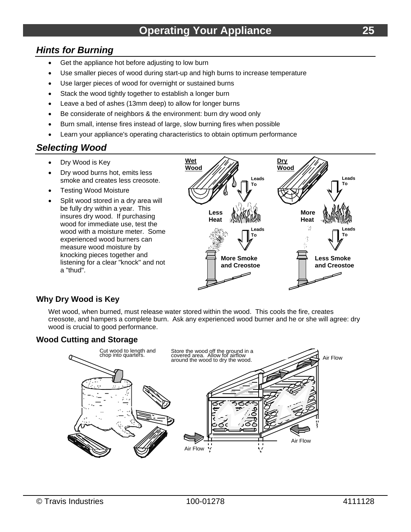#### *Hints for Burning*

- Get the appliance hot before adjusting to low burn
- Use smaller pieces of wood during start-up and high burns to increase temperature
- Use larger pieces of wood for overnight or sustained burns
- Stack the wood tightly together to establish a longer burn
- Leave a bed of ashes (13mm deep) to allow for longer burns
- Be considerate of neighbors & the environment: burn dry wood only
- Burn small, intense fires instead of large, slow burning fires when possible
- Learn your appliance's operating characteristics to obtain optimum performance

#### *Selecting Wood*

- Dry Wood is Key
- Dry wood burns hot, emits less smoke and creates less creosote.
- Testing Wood Moisture
- Split wood stored in a dry area will be fully dry within a year. This insures dry wood. If purchasing wood for immediate use, test the wood with a moisture meter. Some experienced wood burners can measure wood moisture by knocking pieces together and listening for a clear "knock" and not a "thud".



#### **Why Dry Wood is Key**

Wet wood, when burned, must release water stored within the wood. This cools the fire, creates creosote, and hampers a complete burn. Ask any experienced wood burner and he or she will agree: dry wood is crucial to good performance.

#### **Wood Cutting and Storage**

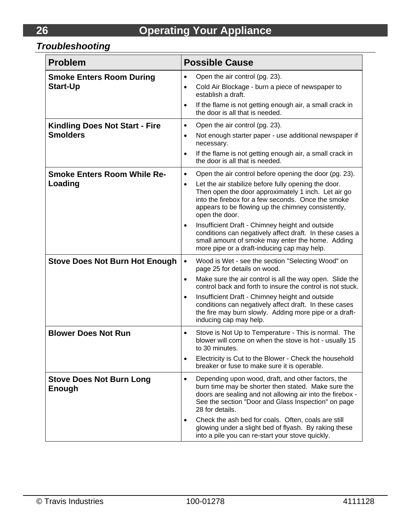# *Troubleshooting*

| <b>Problem</b>                                           | <b>Possible Cause</b>                                                                                                                                                                                                                                                                                                                                                                                                                                                                                                                                        |
|----------------------------------------------------------|--------------------------------------------------------------------------------------------------------------------------------------------------------------------------------------------------------------------------------------------------------------------------------------------------------------------------------------------------------------------------------------------------------------------------------------------------------------------------------------------------------------------------------------------------------------|
| <b>Smoke Enters Room During</b><br><b>Start-Up</b>       | Open the air control (pg. 23).<br>$\bullet$<br>Cold Air Blockage - burn a piece of newspaper to<br>$\bullet$<br>establish a draft.<br>If the flame is not getting enough air, a small crack in<br>$\bullet$<br>the door is all that is needed.                                                                                                                                                                                                                                                                                                               |
| <b>Kindling Does Not Start - Fire</b><br><b>Smolders</b> | Open the air control (pg. 23).<br>$\bullet$<br>Not enough starter paper - use additional newspaper if<br>$\bullet$<br>necessary.<br>If the flame is not getting enough air, a small crack in<br>$\bullet$<br>the door is all that is needed.                                                                                                                                                                                                                                                                                                                 |
| <b>Smoke Enters Room While Re-</b><br>Loading            | Open the air control before opening the door (pg. 23).<br>$\bullet$<br>Let the air stabilize before fully opening the door.<br>$\bullet$<br>Then open the door approximately 1 inch. Let air go<br>into the firebox for a few seconds. Once the smoke<br>appears to be flowing up the chimney consistently,<br>open the door.<br>Insufficient Draft - Chimney height and outside<br>$\bullet$<br>conditions can negatively affect draft. In these cases a<br>small amount of smoke may enter the home. Adding<br>more pipe or a draft-inducing cap may help. |
| <b>Stove Does Not Burn Hot Enough</b>                    | Wood is Wet - see the section "Selecting Wood" on<br>$\bullet$<br>page 25 for details on wood.<br>Make sure the air control is all the way open. Slide the<br>٠<br>control back and forth to insure the control is not stuck.<br>Insufficient Draft - Chimney height and outside<br>٠<br>conditions can negatively affect draft. In these cases<br>the fire may burn slowly. Adding more pipe or a draft-<br>inducing cap may help.                                                                                                                          |
| <b>Blower Does Not Run</b>                               | Stove is Not Up to Temperature - This is normal. The<br>$\bullet$<br>blower will come on when the stove is hot - usually 15<br>to 30 minutes.<br>Electricity is Cut to the Blower - Check the household<br>breaker or fuse to make sure it is operable.                                                                                                                                                                                                                                                                                                      |
| <b>Stove Does Not Burn Long</b><br>Enough                | Depending upon wood, draft, and other factors, the<br>$\bullet$<br>burn time may be shorter then stated. Make sure the<br>doors are sealing and not allowing air into the firebox -<br>See the section "Door and Glass Inspection" on page<br>28 for details.<br>Check the ash bed for coals. Often, coals are still<br>glowing under a slight bed of flyash. By raking these<br>into a pile you can re-start your stove quickly.                                                                                                                            |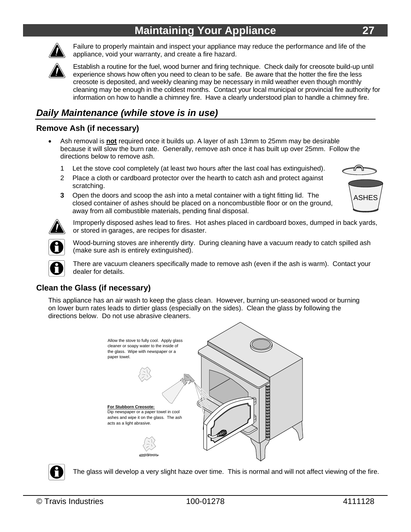# **Maintaining Your Appliance 27**



Failure to properly maintain and inspect your appliance may reduce the performance and life of the appliance, void your warranty, and create a fire hazard.



Establish a routine for the fuel, wood burner and firing technique. Check daily for creosote build-up until experience shows how often you need to clean to be safe. Be aware that the hotter the fire the less creosote is deposited, and weekly cleaning may be necessary in mild weather even though monthly cleaning may be enough in the coldest months. Contact your local municipal or provincial fire authority for information on how to handle a chimney fire. Have a clearly understood plan to handle a chimney fire.

### *Daily Maintenance (while stove is in use)*

#### **Remove Ash (if necessary)**

- Ash removal is **not** required once it builds up. A layer of ash 13mm to 25mm may be desirable because it will slow the burn rate. Generally, remove ash once it has built up over 25mm. Follow the directions below to remove ash.
	- 1 Let the stove cool completely (at least two hours after the last coal has extinguished).
	- 2 Place a cloth or cardboard protector over the hearth to catch ash and protect against scratching.
	- **3** Open the doors and scoop the ash into a metal container with a tight fitting lid. The closed container of ashes should be placed on a noncombustible floor or on the ground, away from all combustible materials, pending final disposal.





Improperly disposed ashes lead to fires. Hot ashes placed in cardboard boxes, dumped in back yards, or stored in garages, are recipes for disaster.



Wood-burning stoves are inherently dirty. During cleaning have a vacuum ready to catch spilled ash (make sure ash is entirely extinguished).

There are vacuum cleaners specifically made to remove ash (even if the ash is warm). Contact your dealer for details.

#### **Clean the Glass (if necessary)**

This appliance has an air wash to keep the glass clean. However, burning un-seasoned wood or burning on lower burn rates leads to dirtier glass (especially on the sides). Clean the glass by following the directions below. Do not use abrasive cleaners.





The glass will develop a very slight haze over time. This is normal and will not affect viewing of the fire.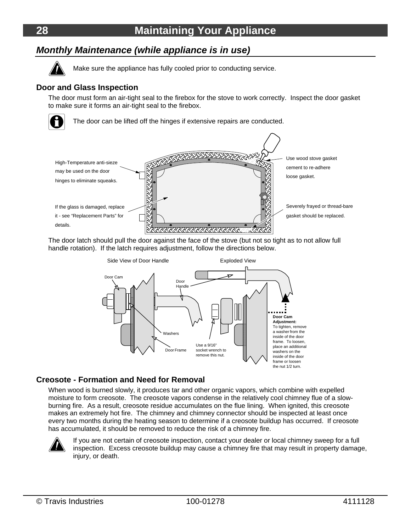# **28 Maintaining Your Appliance**

#### *Monthly Maintenance (while appliance is in use)*



Make sure the appliance has fully cooled prior to conducting service.

#### **Door and Glass Inspection**

The door must form an air-tight seal to the firebox for the stove to work correctly. Inspect the door gasket to make sure it forms an air-tight seal to the firebox.



The door can be lifted off the hinges if extensive repairs are conducted.



The door latch should pull the door against the face of the stove (but not so tight as to not allow full<br>The door latch should pull the door against the face of the stove (but not so tight as to not allow full handle rotation). If the latch requires adjustment, follow the directions below.



#### **Creosote - Formation and Need for Removal**

When wood is burned slowly, it produces tar and other organic vapors, which combine with expelled moisture to form creosote. The creosote vapors condense in the relatively cool chimney flue of a slowburning fire. As a result, creosote residue accumulates on the flue lining. When ignited, this creosote makes an extremely hot fire. The chimney and chimney connector should be inspected at least once every two months during the heating season to determine if a creosote buildup has occurred. If creosote has accumulated, it should be removed to reduce the risk of a chimney fire.



If you are not certain of creosote inspection, contact your dealer or local chimney sweep for a full inspection. Excess creosote buildup may cause a chimney fire that may result in property damage, injury, or death.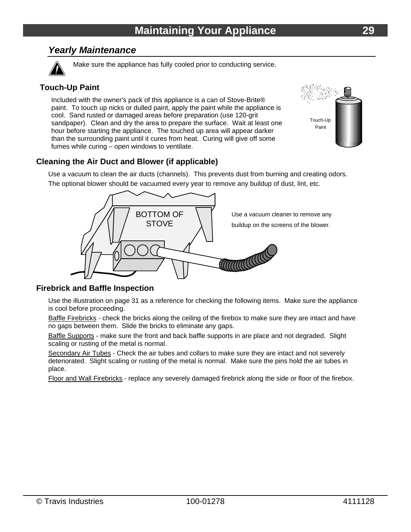#### *Yearly Maintenance*



Make sure the appliance has fully cooled prior to conducting service.

#### **Touch-Up Paint**

Included with the owner's pack of this appliance is a can of Stove-Brite® paint. To touch up nicks or dulled paint, apply the paint while the appliance is cool. Sand rusted or damaged areas before preparation (use 120-grit sandpaper). Clean and dry the area to prepare the surface. Wait at least one hour before starting the appliance. The touched up area will appear darker than the surrounding paint until it cures from heat. Curing will give off some fumes while curing – open windows to ventilate.



#### **Cleaning the Air Duct and Blower (if applicable)**

Use a vacuum to clean the air ducts (channels). This prevents dust from burning and creating odors.

The optional blower should be vacuumed every year to remove any buildup of dust, lint, etc.



#### **Firebrick and Baffle Inspection**

Use the illustration on page 31 as a reference for checking the following items. Make sure the appliance is cool before proceeding.

Baffle Firebricks - check the bricks along the ceiling of the firebox to make sure they are intact and have no gaps between them. Slide the bricks to eliminate any gaps.

Baffle Supports - make sure the front and back baffle supports in are place and not degraded. Slight scaling or rusting of the metal is normal.

Secondary Air Tubes - Check the air tubes and collars to make sure they are intact and not severely deteriorated. Slight scaling or rusting of the metal is normal. Make sure the pins hold the air tubes in place.

Floor and Wall Firebricks - replace any severely damaged firebrick along the side or floor of the firebox.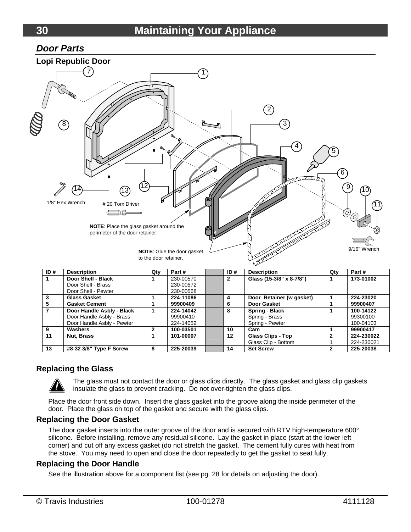#### *Door Parts*



#### **Replacing the Glass**

The glass must not contact the door or glass clips directly. The glass gasket and glass clip gaskets insulate the glass to prevent cracking. Do not over-tighten the glass clips.

**9 Washers 2 100-03501 10 Cam 1 99900417** 

**13 #8-32 3/8" Type F Screw 8 225-20039 14 Set Screw 2 225-20038** 

Spring - Pewter

Glass Clip - Bottom

Place the door front side down. Insert the glass gasket into the groove along the inside perimeter of the door. Place the glass on top of the gasket and secure with the glass clips.

#### **Replacing the Door Gasket**

Door Handle Asbly - Pewter

The door gasket inserts into the outer groove of the door and is secured with RTV high-temperature 600° silicone. Before installing, remove any residual silicone. Lay the gasket in place (start at the lower left corner) and cut off any excess gasket (do not stretch the gasket. The cement fully cures with heat from the stove. You may need to open and close the door repeatedly to get the gasket to seat fully.

#### **Replacing the Door Handle**

See the illustration above for a component list (see pg. 28 for details on adjusting the door).

224-14052

11 Nut, Brass 1 1 101-00007 12 Glass Clips - Top

100-04103

**224-230022**  224-230021

**2**  1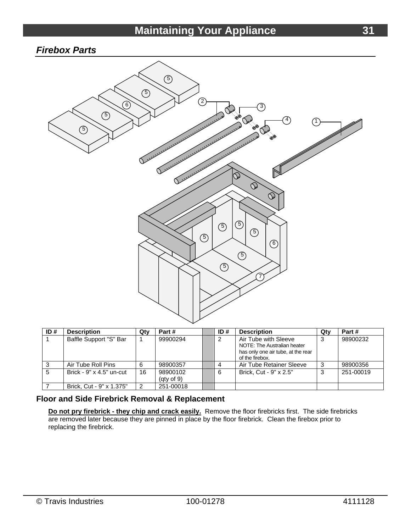# **Maintaining Your Appliance 1996 12:31**

#### *Firebox Parts*



| ID# | <b>Description</b>              | Qty | Part #                       | ID# | <b>Description</b>                                                                                           | Qty | Part#     |
|-----|---------------------------------|-----|------------------------------|-----|--------------------------------------------------------------------------------------------------------------|-----|-----------|
|     | Baffle Support "S" Bar          |     | 99900294                     | 2   | Air Tube with Sleeve<br>NOTE: The Australian heater<br>has only one air tube, at the rear<br>of the firebox. | 3   | 98900232  |
|     | Air Tube Roll Pins              | 6   | 98900357                     |     | Air Tube Retainer Sleeve                                                                                     | د   | 98900356  |
| 5   | Brick - $9" \times 4.5"$ un-cut | 16  | 98900102<br>$($ gty of 9 $)$ | 6   | Brick. Cut - 9" x 2.5"                                                                                       | 3   | 251-00019 |
|     | Brick, Cut - 9" x 1.375"        |     | 251-00018                    |     |                                                                                                              |     |           |

#### **Floor and Side Firebrick Removal & Replacement**

**Do not pry firebrick - they chip and crack easily.** Remove the floor firebricks first. The side firebricks are removed later because they are pinned in place by the floor firebrick. Clean the firebox prior to replacing the firebrick.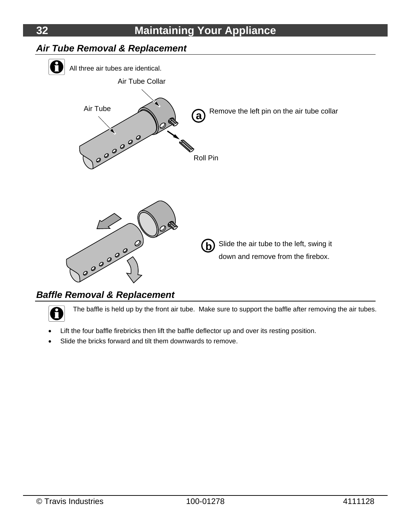

### *Baffle Removal & Replacement*

The baffle is held up by the front air tube. Make sure to support the baffle after removing the air tubes.

- Lift the four baffle firebricks then lift the baffle deflector up and over its resting position.
- Slide the bricks forward and tilt them downwards to remove.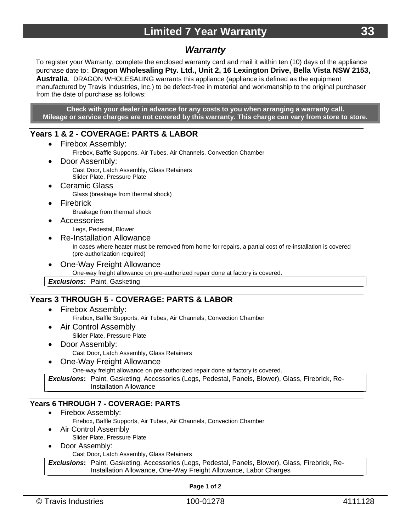#### *Warranty*

To register your Warranty, complete the enclosed warranty card and mail it within ten (10) days of the appliance purchase date to:. **Dragon Wholesaling Pty. Ltd., Unit 2, 16 Lexington Drive, Bella Vista NSW 2153, Australia**. DRAGON WHOLESALING warrants this appliance (appliance is defined as the equipment manufactured by Travis Industries, Inc.) to be defect-free in material and workmanship to the original purchaser from the date of purchase as follows:

**Check with your dealer in advance for any costs to you when arranging a warranty call. Mileage or service charges are not covered by this warranty. This charge can vary from store to store.** 

#### **Years 1 & 2 - COVERAGE: PARTS & LABOR**

- Firebox Assembly:
	- Firebox, Baffle Supports, Air Tubes, Air Channels, Convection Chamber
- Door Assembly: Cast Door, Latch Assembly, Glass Retainers Slider Plate, Pressure Plate
- Ceramic Glass Glass (breakage from thermal shock)
- Firebrick Breakage from thermal shock
- Accessories Legs, Pedestal, Blower
- Re-Installation Allowance

In cases where heater must be removed from home for repairs, a partial cost of re-installation is covered (pre-authorization required)

One-Way Freight Allowance

One-way freight allowance on pre-authorized repair done at factory is covered.

*Exclusions***:** Paint, Gasketing

#### **Years 3 THROUGH 5 - COVERAGE: PARTS & LABOR**

- Firebox Assembly:
	- Firebox, Baffle Supports, Air Tubes, Air Channels, Convection Chamber
- Air Control Assembly Slider Plate, Pressure Plate
- Door Assembly: Cast Door, Latch Assembly, Glass Retainers
- One-Way Freight Allowance

One-way freight allowance on pre-authorized repair done at factory is covered.

*Exclusions***:** Paint, Gasketing, Accessories (Legs, Pedestal, Panels, Blower), Glass, Firebrick, Re-Installation Allowance

#### **Years 6 THROUGH 7 - COVERAGE: PARTS**

- Firebox Assembly:
	- Firebox, Baffle Supports, Air Tubes, Air Channels, Convection Chamber
- Air Control Assembly
	- Slider Plate, Pressure Plate
- Door Assembly:

Cast Door, Latch Assembly, Glass Retainers

*Exclusions***:** Paint, Gasketing, Accessories (Legs, Pedestal, Panels, Blower), Glass, Firebrick, Re-Installation Allowance, One-Way Freight Allowance, Labor Charges

**Page 1 of 2**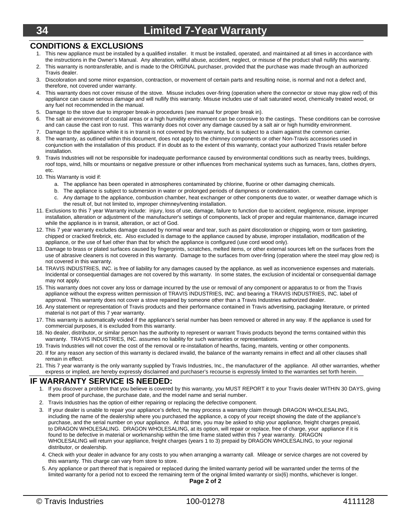## **34 Limited 7-Year Warranty**

#### **CONDITIONS & EXCLUSIONS**

- 1. This new appliance must be installed by a qualified installer. It must be installed, operated, and maintained at all times in accordance with the instructions in the Owner's Manual. Any alteration, willful abuse, accident, neglect, or misuse of the product shall nullify this warranty.
- 2. This warranty is nontransferable, and is made to the ORIGINAL purchaser, provided that the purchase was made through an authorized Travis dealer.
- 3. Discoloration and some minor expansion, contraction, or movement of certain parts and resulting noise, is normal and not a defect and, therefore, not covered under warranty.
- 4. This warranty does not cover misuse of the stove. Misuse includes over-firing (operation where the connector or stove may glow red) of this appliance can cause serious damage and will nullify this warranty. Misuse includes use of salt saturated wood, chemically treated wood, or any fuel not recommended in the manual.
- 5. Damage to the stove due to improper break-in procedures (see manual for proper break in).
- 6. The salt air environment of coastal areas or a high humidity environment can be corrosive to the castings. These conditions can be corrosive and can cause the cast iron to rust. This warranty does not cover any damage caused by a salt air or high humidity environment.
- 7. Damage to the appliance while it is in transit is not covered by this warranty, but is subject to a claim against the common carrier.
- 8. The warranty, as outlined within this document, does not apply to the chimney components or other Non-Travis accessories used in conjunction with the installation of this product. If in doubt as to the extent of this warranty, contact your authorized Travis retailer before installation.
- 9. Travis Industries will not be responsible for inadequate performance caused by environmental conditions such as nearby trees, buildings, roof tops, wind, hills or mountains or negative pressure or other influences from mechanical systems such as furnaces, fans, clothes dryers, etc.
- 10. This Warranty is void if:
	- a. The appliance has been operated in atmospheres contaminated by chlorine, fluorine or other damaging chemicals.
	- b. The appliance is subject to submersion in water or prolonged periods of dampness or condensation.
	- c. Any damage to the appliance, combustion chamber, heat exchanger or other components due to water, or weather damage which is the result of, but not limited to, improper chimney/venting installation.
- 11. Exclusions to this 7 year Warranty include: injury, loss of use, damage, failure to function due to accident, negligence, misuse, improper installation, alteration or adjustment of the manufacturer's settings of components, lack of proper and regular maintenance, damage incurred while the appliance is in transit, alteration, or act of God.
- 12. This 7 year warranty excludes damage caused by normal wear and tear, such as paint discoloration or chipping, worn or torn gasketing, chipped or cracked firebrick, etc. Also excluded is damage to the appliance caused by abuse, improper installation, modification of the appliance, or the use of fuel other than that for which the appliance is configured (use cord wood only).
- 13. Damage to brass or plated surfaces caused by fingerprints, scratches, melted items, or other external sources left on the surfaces from the use of abrasive cleaners is not covered in this warranty. Damage to the surfaces from over-firing (operation where the steel may glow red) is not covered in this warranty.
- 14. TRAVIS INDUSTRIES, INC. is free of liability for any damages caused by the appliance, as well as inconvenience expenses and materials. Incidental or consequential damages are not covered by this warranty. In some states, the exclusion of incidental or consequential damage may not apply.
- 15. This warranty does not cover any loss or damage incurred by the use or removal of any component or apparatus to or from the Travis appliance without the express written permission of TRAVIS INDUSTRIES, INC. and bearing a TRAVIS INDUSTRIES, INC. label of approval. This warranty does not cover a stove repaired by someone other than a Travis Industries authorized dealer.
- 16. Any statement or representation of Travis products and their performance contained in Travis advertising, packaging literature, or printed material is not part of this 7 year warranty.
- 17. This warranty is automatically voided if the appliance's serial number has been removed or altered in any way. If the appliance is used for commercial purposes, it is excluded from this warranty.
- 18. No dealer, distributor, or similar person has the authority to represent or warrant Travis products beyond the terms contained within this warranty. TRAVIS INDUSTRIES, INC. assumes no liability for such warranties or representations.
- 19. Travis Industries will not cover the cost of the removal or re-installation of hearths, facing, mantels, venting or other components.
- 20. If for any reason any section of this warranty is declared invalid, the balance of the warranty remains in effect and all other clauses shall remain in effect.
- 21. This 7 year warranty is the only warranty supplied by Travis Industries, Inc., the manufacturer of the appliance. All other warranties, whether express or implied, are hereby expressly disclaimed and purchaser's recourse is expressly limited to the warranties set forth herein.

#### **IF WARRANTY SERVICE IS NEEDED:**

- 1. If you discover a problem that you believe is covered by this warranty, you MUST REPORT it to your Travis dealer WITHIN 30 DAYS, giving them proof of purchase, the purchase date, and the model name and serial number.
- 2. Travis Industries has the option of either repairing or replacing the defective component.
- 3. If your dealer is unable to repair your appliance's defect, he may process a warranty claim through DRAGON WHOLESALING, including the name of the dealership where you purchased the appliance, a copy of your receipt showing the date of the appliance's purchase, and the serial number on your appliance. At that time, you may be asked to ship your appliance, freight charges prepaid, to DRAGON WHOLESALING. DRAGON WHOLESALING, at its option, will repair or replace, free of charge, your appliance if it is found to be defective in material or workmanship within the time frame stated within this 7 year warranty. DRAGON WHOLESALING will return your appliance, freight charges (years 1 to 3) prepaid by DRAGON WHOLESALING, to your regional distributor, or dealership.
- 4. Check with your dealer in advance for any costs to you when arranging a warranty call. Mileage or service charges are not covered by this warranty. This charge can vary from store to store.
- 5. Any appliance or part thereof that is repaired or replaced during the limited warranty period will be warranted under the terms of the limited warranty for a period not to exceed the remaining term of the original limited warranty or six(6) months, whichever is longer.

**Page 2 of 2**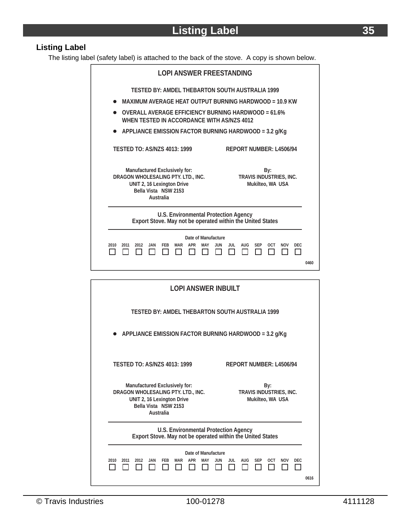#### **Listing Label**

The listing label (safety label) is attached to the back of the stove. A copy is shown below.

| <b>LOPI ANSWER FREESTANDING</b>                                                                                                                                                              |      |  |  |  |  |
|----------------------------------------------------------------------------------------------------------------------------------------------------------------------------------------------|------|--|--|--|--|
| TESTED BY: AMDEL THEBARTON SOUTH AUSTRALIA 1999                                                                                                                                              |      |  |  |  |  |
| MAXIMUM AVERAGE HEAT OUTPUT BURNING HARDWOOD = 10.9 KW                                                                                                                                       |      |  |  |  |  |
| OVERALL AVERAGE FEFICIENCY BURNING HARDWOOD = $61.6\%$<br>WHEN TESTED IN ACCORDANCE WITH AS/NZS 4012                                                                                         |      |  |  |  |  |
| APPLIANCE EMISSION FACTOR BURNING HARDWOOD = 3.2 g/Kg                                                                                                                                        |      |  |  |  |  |
| <b>TESTED TO: AS/N7S 4013: 1999</b><br>REPORT NUMBER: L4506/94                                                                                                                               |      |  |  |  |  |
| Manufactured Exclusively for:<br>By:<br>DRAGON WHOLESALING PTY. LTD., INC.<br>TRAVIS INDUSTRIES, INC.<br>UNIT 2, 16 Lexington Drive<br>Mukilteo, WA USA<br>Bella Vista NSW 2153<br>Australia |      |  |  |  |  |
| U.S. Environmental Protection Agency<br>Export Stove. May not be operated within the United States                                                                                           |      |  |  |  |  |
| Date of Manufacture<br><b>AUG</b><br><b>OCT</b><br><b>NOV</b><br>2010<br>2012<br>JAN<br><b>FFR</b><br>MAR<br><b>APR</b><br><b>JUN</b><br>JUL<br><b>SEP</b><br><b>DEC</b><br>2011<br>MAY      |      |  |  |  |  |
|                                                                                                                                                                                              | 0460 |  |  |  |  |

| <b>LOPI ANSWER INBUILT</b>                                                                                                                                                                   |  |  |  |  |
|----------------------------------------------------------------------------------------------------------------------------------------------------------------------------------------------|--|--|--|--|
| TESTED BY: AMDEL THEBARTON SOUTH AUSTRALIA 1999                                                                                                                                              |  |  |  |  |
| APPLIANCE EMISSION FACTOR BURNING HARDWOOD = 3.2 g/Kg                                                                                                                                        |  |  |  |  |
| TESTED TO: AS/N7S 4013: 1999<br>REPORT NUMBER: 14506/94                                                                                                                                      |  |  |  |  |
| Manufactured Exclusively for:<br>By:<br>DRAGON WHOLESALING PTY. LTD., INC.<br>TRAVIS INDUSTRIES, INC.<br>UNIT 2, 16 Lexington Drive<br>Mukilteo, WA USA<br>Bella Vista NSW 2153<br>Australia |  |  |  |  |
| U.S. Environmental Protection Agency<br>Export Stove. May not be operated within the United States                                                                                           |  |  |  |  |
| Date of Manufacture                                                                                                                                                                          |  |  |  |  |
| <b>AUG</b><br><b>FEB</b><br>APR<br>JUL<br><b>SEP</b><br><b>OCT</b><br><b>NOV</b><br><b>DEC</b><br>2010<br>2011<br>2012<br><b>JAN</b><br>MAR<br>MAY<br><b>JUN</b><br>0616                     |  |  |  |  |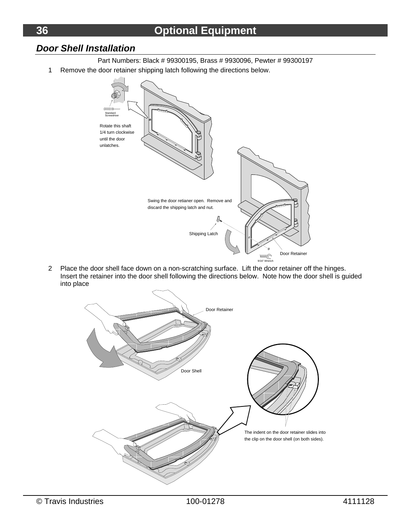#### *Door Shell Installation*

- Part Numbers: Black # 99300195, Brass # 9930096, Pewter # 99300197
- 1 Remove the door retainer shipping latch following the directions below.



2 Place the door shell face down on a non-scratching surface. Lift the door retainer off the hinges. Insert the retainer into the door shell following the directions below. Note how the door shell is guided into place

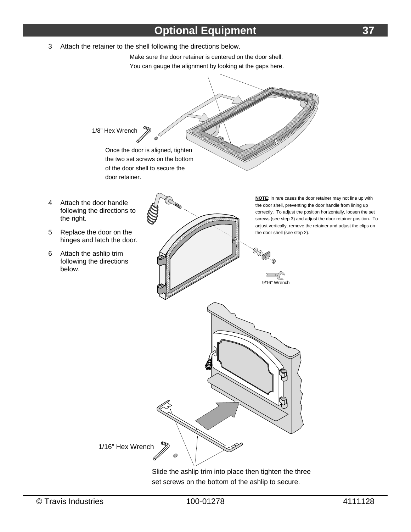# **Optional Equipment 37**

3 Attach the retainer to the shell following the directions below.

Make sure the door retainer is centered on the door shell. You can gauge the alignment by looking at the gaps here.



Slide the ashlip trim into place then tighten the three set screws on the bottom of the ashlip to secure.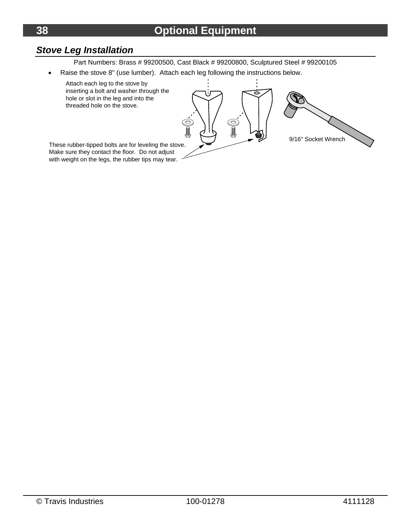# *Stove Leg Installation*

Part Numbers: Brass # 99200500, Cast Black # 99200800, Sculptured Steel # 99200105

Raise the stove 8" (use lumber). Attach each leg following the instructions below.

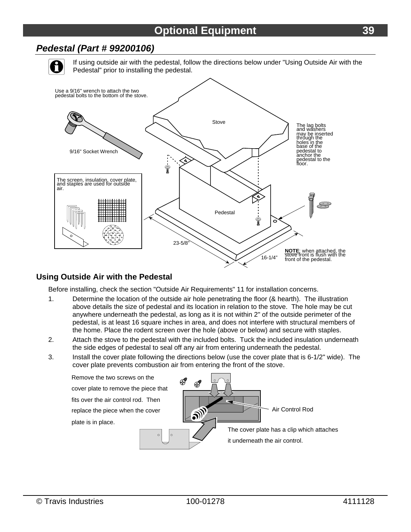#### *Pedestal (Part # 99200106)*

If using outside air with the pedestal, follow the directions below under "Using Outside Air with the Pedestal" prior to installing the pedestal.



#### **Using Outside Air with the Pedestal**

Before installing, check the section "Outside Air Requirements" 11 for installation concerns.

- 1. Determine the location of the outside air hole penetrating the floor (& hearth). The illustration above details the size of pedestal and its location in relation to the stove. The hole may be cut anywhere underneath the pedestal, as long as it is not within 2" of the outside perimeter of the pedestal, is at least 16 square inches in area, and does not interfere with structural members of the home. Place the rodent screen over the hole (above or below) and secure with staples.
- 2. Attach the stove to the pedestal with the included bolts. Tuck the included insulation underneath the side edges of pedestal to seal off any air from entering underneath the pedestal.
- 3. Install the cover plate following the directions below (use the cover plate that is 6-1/2" wide). The cover plate prevents combustion air from entering the front of the stove.

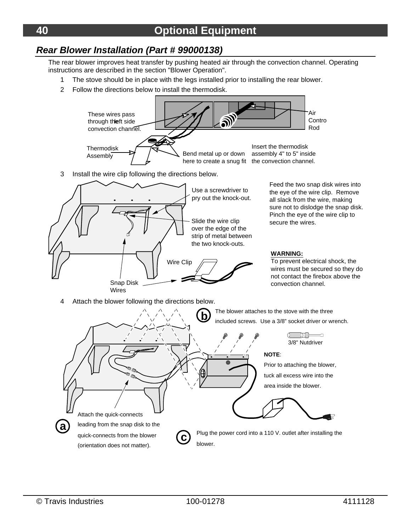#### *Rear Blower Installation (Part # 99000138)*

The rear blower improves heat transfer by pushing heated air through the convection channel. Operating instructions are described in the section "Blower Operation".

- 1 The stove should be in place with the legs installed prior to installing the rear blower.
- 2 Follow the directions below to install the thermodisk.

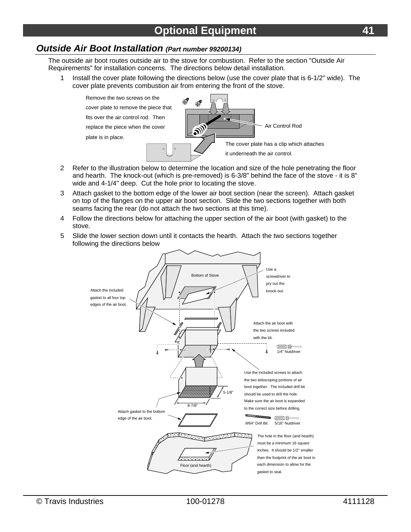#### *Outside Air Boot Installation (Part number 99200134)*

The outside air boot routes outside air to the stove for combustion. Refer to the section "Outside Air Requirements" for installation concerns. The directions below detail installation.

1 Install the cover plate following the directions below (use the cover plate that is 6-1/2" wide). The cover plate prevents combustion air from entering the front of the stove.



- 2 Refer to the illustration below to determine the location and size of the hole penetrating the floor and hearth. The knock-out (which is pre-removed) is 6-3/8" behind the face of the stove - it is 8" wide and 4-1/4" deep. Cut the hole prior to locating the stove.
- 3 Attach gasket to the bottom edge of the lower air boot section (near the screen). Attach gasket on top of the flanges on the upper air boot section. Slide the two sections together with both seams facing the rear (do not attach the two sections at this time).
- 4 Follow the directions below for attaching the upper section of the air boot (with gasket) to the stove.
- 5 Slide the lower section down until it contacts the hearth. Attach the two sections together following the directions below

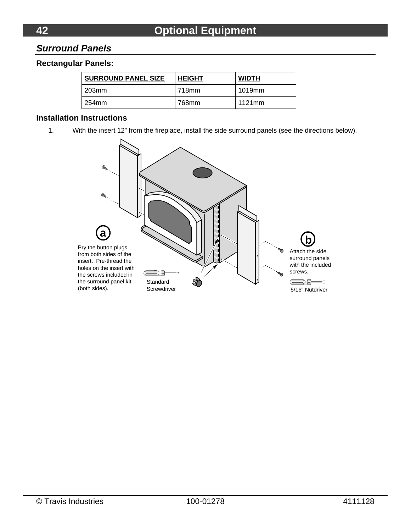#### *Surround Panels*

#### **Rectangular Panels:**

| <b>SURROUND PANEL SIZE</b> | <b>HEIGHT</b> | <b>WIDTH</b> |
|----------------------------|---------------|--------------|
| l 203mm                    | 718mm         | 1019mm       |
| 254mm                      | 768mm         | 1121mm       |

#### **Installation Instructions**

1. With the insert 12" from the fireplace, install the side surround panels (see the directions below).

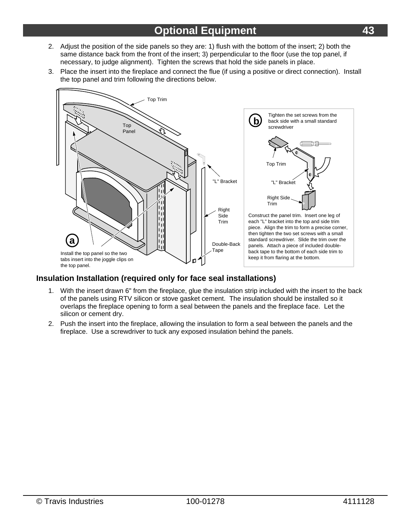- 2. Adjust the position of the side panels so they are: 1) flush with the bottom of the insert; 2) both the same distance back from the front of the insert; 3) perpendicular to the floor (use the top panel, if necessary, to judge alignment). Tighten the screws that hold the side panels in place.
- 3. Place the insert into the fireplace and connect the flue (if using a positive or direct connection). Install the top panel and trim following the directions below.



#### **Insulation Installation (required only for face seal installations)**

- 1. With the insert drawn 6" from the fireplace, glue the insulation strip included with the insert to the back of the panels using RTV silicon or stove gasket cement. The insulation should be installed so it overlaps the fireplace opening to form a seal between the panels and the fireplace face. Let the silicon or cement dry.
- 2. Push the insert into the fireplace, allowing the insulation to form a seal between the panels and the fireplace. Use a screwdriver to tuck any exposed insulation behind the panels.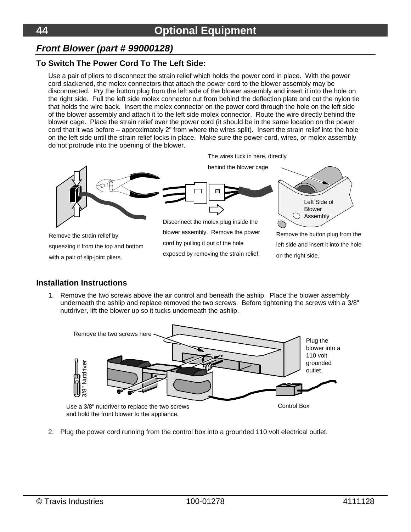#### *Front Blower (part # 99000128)*

#### **To Switch The Power Cord To The Left Side:**

Use a pair of pliers to disconnect the strain relief which holds the power cord in place. With the power cord slackened, the molex connectors that attach the power cord to the blower assembly may be disconnected. Pry the button plug from the left side of the blower assembly and insert it into the hole on the right side. Pull the left side molex connector out from behind the deflection plate and cut the nylon tie that holds the wire back. Insert the molex connector on the power cord through the hole on the left side of the blower assembly and attach it to the left side molex connector. Route the wire directly behind the blower cage. Place the strain relief over the power cord (it should be in the same location on the power cord that it was before – approximately 2" from where the wires split). Insert the strain relief into the hole on the left side until the strain relief locks in place. Make sure the power cord, wires, or molex assembly do not protrude into the opening of the blower.



#### **Installation Instructions**

1. Remove the two screws above the air control and beneath the ashlip. Place the blower assembly underneath the ashlip and replace removed the two screws. Before tightening the screws with a 3/8" nutdriver, lift the blower up so it tucks underneath the ashlip.



2. Plug the power cord running from the control box into a grounded 110 volt electrical outlet.